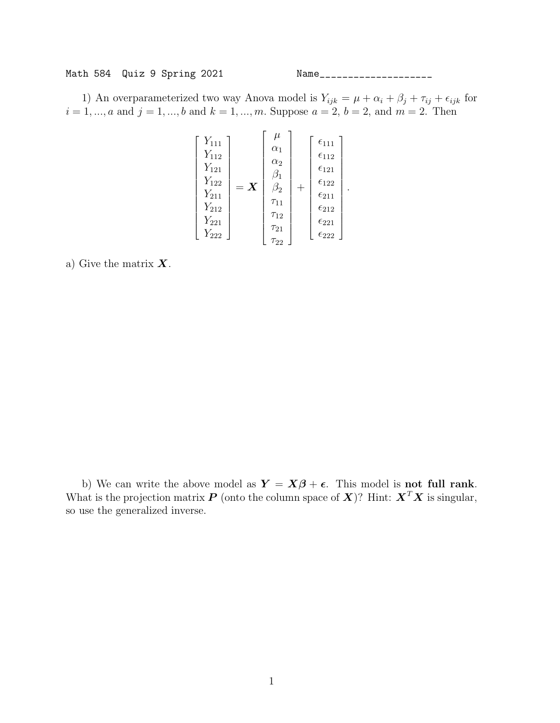Math 584 Quiz 9 Spring 2021 Name\_\_\_\_\_\_\_\_\_\_\_\_\_\_\_\_\_\_\_\_

1) An overparameterized two way Anova model is  $Y_{ijk} = \mu + \alpha_i + \beta_j + \tau_{ij} + \epsilon_{ijk}$  for  $i = 1, ..., a$  and  $j = 1, ..., b$  and  $k = 1, ..., m$ . Suppose  $a = 2, b = 2$ , and  $m = 2$ . Then

$$
\begin{bmatrix} Y_{111} \\ Y_{112} \\ Y_{121} \\ Y_{122} \\ Y_{211} \\ Y_{212} \\ Y_{212} \\ Y_{221} \\ Y_{222} \end{bmatrix} = \mathbf{X} \begin{bmatrix} \mu \\ \alpha_1 \\ \alpha_2 \\ \beta_1 \\ \beta_2 \\ \tau_{11} \\ \tau_{12} \\ \tau_{12} \\ \tau_{21} \\ \tau_{22} \\ \tau_{21} \\ \tau_{22} \\ \tau_{22} \end{bmatrix} + \begin{bmatrix} \epsilon_{111} \\ \epsilon_{112} \\ \epsilon_{122} \\ \epsilon_{211} \\ \epsilon_{212} \\ \epsilon_{221} \\ \epsilon_{222} \end{bmatrix}.
$$

a) Give the matrix  $\boldsymbol{X}$ .

b) We can write the above model as  $Y = X\beta + \epsilon$ . This model is **not full rank**. What is the projection matrix  $P$  (onto the column space of  $X$ )? Hint:  $X^T X$  is singular, so use the generalized inverse.